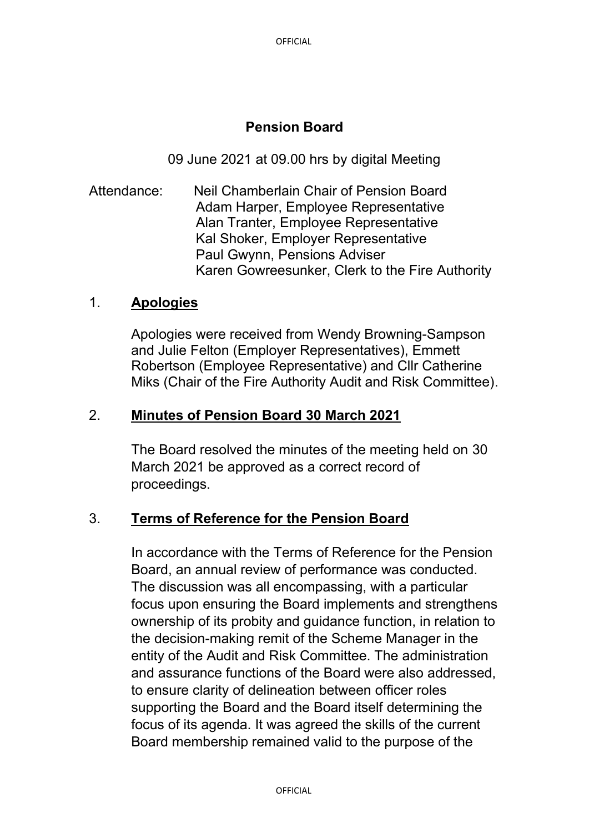# **Pension Board**

09 June 2021 at 09.00 hrs by digital Meeting

Attendance: Neil Chamberlain Chair of Pension Board Adam Harper, Employee Representative Alan Tranter, Employee Representative Kal Shoker, Employer Representative Paul Gwynn, Pensions Adviser Karen Gowreesunker, Clerk to the Fire Authority

# 1. **Apologies**

Apologies were received from Wendy Browning-Sampson and Julie Felton (Employer Representatives), Emmett Robertson (Employee Representative) and Cllr Catherine Miks (Chair of the Fire Authority Audit and Risk Committee).

# 2. **Minutes of Pension Board 30 March 2021**

The Board resolved the minutes of the meeting held on 30 March 2021 be approved as a correct record of proceedings.

### 3. **Terms of Reference for the Pension Board**

In accordance with the Terms of Reference for the Pension Board, an annual review of performance was conducted. The discussion was all encompassing, with a particular focus upon ensuring the Board implements and strengthens ownership of its probity and guidance function, in relation to the decision-making remit of the Scheme Manager in the entity of the Audit and Risk Committee. The administration and assurance functions of the Board were also addressed, to ensure clarity of delineation between officer roles supporting the Board and the Board itself determining the focus of its agenda. It was agreed the skills of the current Board membership remained valid to the purpose of the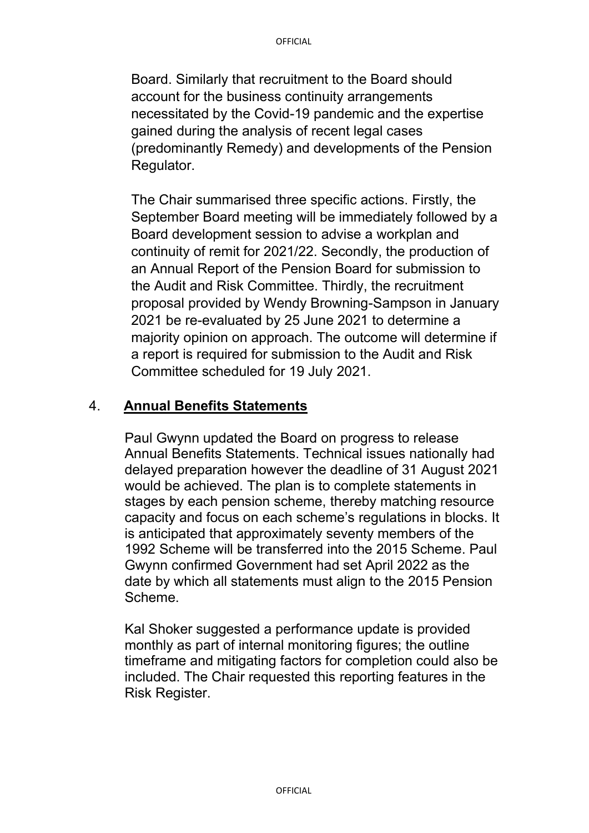Board. Similarly that recruitment to the Board should account for the business continuity arrangements necessitated by the Covid-19 pandemic and the expertise gained during the analysis of recent legal cases (predominantly Remedy) and developments of the Pension Regulator.

The Chair summarised three specific actions. Firstly, the September Board meeting will be immediately followed by a Board development session to advise a workplan and continuity of remit for 2021/22. Secondly, the production of an Annual Report of the Pension Board for submission to the Audit and Risk Committee. Thirdly, the recruitment proposal provided by Wendy Browning-Sampson in January 2021 be re-evaluated by 25 June 2021 to determine a majority opinion on approach. The outcome will determine if a report is required for submission to the Audit and Risk Committee scheduled for 19 July 2021.

### 4. **Annual Benefits Statements**

Paul Gwynn updated the Board on progress to release Annual Benefits Statements. Technical issues nationally had delayed preparation however the deadline of 31 August 2021 would be achieved. The plan is to complete statements in stages by each pension scheme, thereby matching resource capacity and focus on each scheme's regulations in blocks. It is anticipated that approximately seventy members of the 1992 Scheme will be transferred into the 2015 Scheme. Paul Gwynn confirmed Government had set April 2022 as the date by which all statements must align to the 2015 Pension Scheme.

Kal Shoker suggested a performance update is provided monthly as part of internal monitoring figures; the outline timeframe and mitigating factors for completion could also be included. The Chair requested this reporting features in the Risk Register.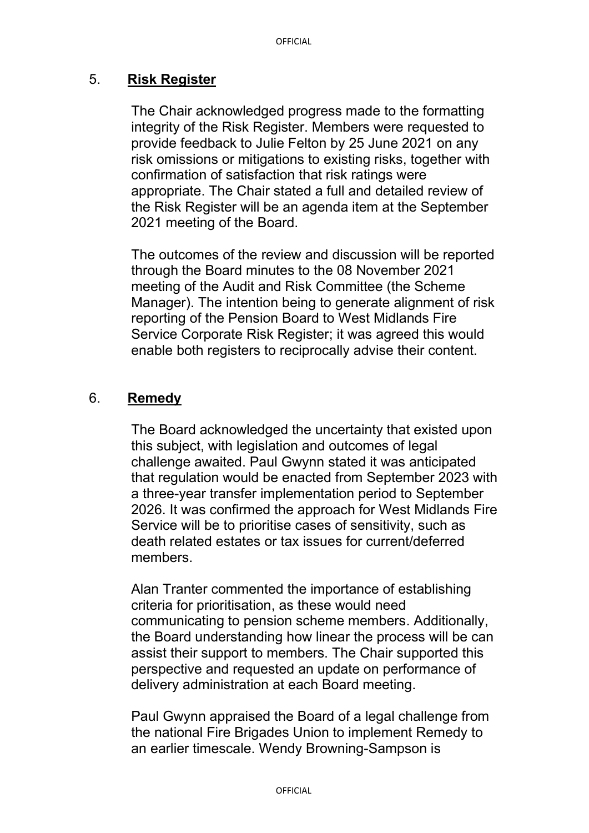# 5. **Risk Register**

The Chair acknowledged progress made to the formatting integrity of the Risk Register. Members were requested to provide feedback to Julie Felton by 25 June 2021 on any risk omissions or mitigations to existing risks, together with confirmation of satisfaction that risk ratings were appropriate. The Chair stated a full and detailed review of the Risk Register will be an agenda item at the September 2021 meeting of the Board.

The outcomes of the review and discussion will be reported through the Board minutes to the 08 November 2021 meeting of the Audit and Risk Committee (the Scheme Manager). The intention being to generate alignment of risk reporting of the Pension Board to West Midlands Fire Service Corporate Risk Register; it was agreed this would enable both registers to reciprocally advise their content.

# 6. **Remedy**

The Board acknowledged the uncertainty that existed upon this subject, with legislation and outcomes of legal challenge awaited. Paul Gwynn stated it was anticipated that regulation would be enacted from September 2023 with a three-year transfer implementation period to September 2026. It was confirmed the approach for West Midlands Fire Service will be to prioritise cases of sensitivity, such as death related estates or tax issues for current/deferred members.

Alan Tranter commented the importance of establishing criteria for prioritisation, as these would need communicating to pension scheme members. Additionally, the Board understanding how linear the process will be can assist their support to members. The Chair supported this perspective and requested an update on performance of delivery administration at each Board meeting.

Paul Gwynn appraised the Board of a legal challenge from the national Fire Brigades Union to implement Remedy to an earlier timescale. Wendy Browning-Sampson is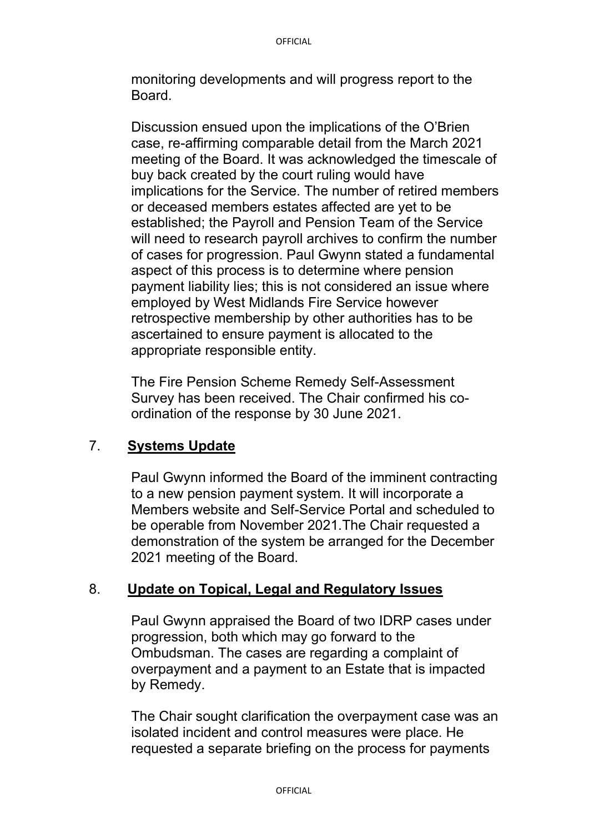monitoring developments and will progress report to the Board.

Discussion ensued upon the implications of the O'Brien case, re-affirming comparable detail from the March 2021 meeting of the Board. It was acknowledged the timescale of buy back created by the court ruling would have implications for the Service. The number of retired members or deceased members estates affected are yet to be established; the Payroll and Pension Team of the Service will need to research payroll archives to confirm the number of cases for progression. Paul Gwynn stated a fundamental aspect of this process is to determine where pension payment liability lies; this is not considered an issue where employed by West Midlands Fire Service however retrospective membership by other authorities has to be ascertained to ensure payment is allocated to the appropriate responsible entity.

The Fire Pension Scheme Remedy Self-Assessment Survey has been received. The Chair confirmed his coordination of the response by 30 June 2021.

### 7. **Systems Update**

Paul Gwynn informed the Board of the imminent contracting to a new pension payment system. It will incorporate a Members website and Self-Service Portal and scheduled to be operable from November 2021.The Chair requested a demonstration of the system be arranged for the December 2021 meeting of the Board.

### 8. **Update on Topical, Legal and Regulatory Issues**

Paul Gwynn appraised the Board of two IDRP cases under progression, both which may go forward to the Ombudsman. The cases are regarding a complaint of overpayment and a payment to an Estate that is impacted by Remedy.

The Chair sought clarification the overpayment case was an isolated incident and control measures were place. He requested a separate briefing on the process for payments